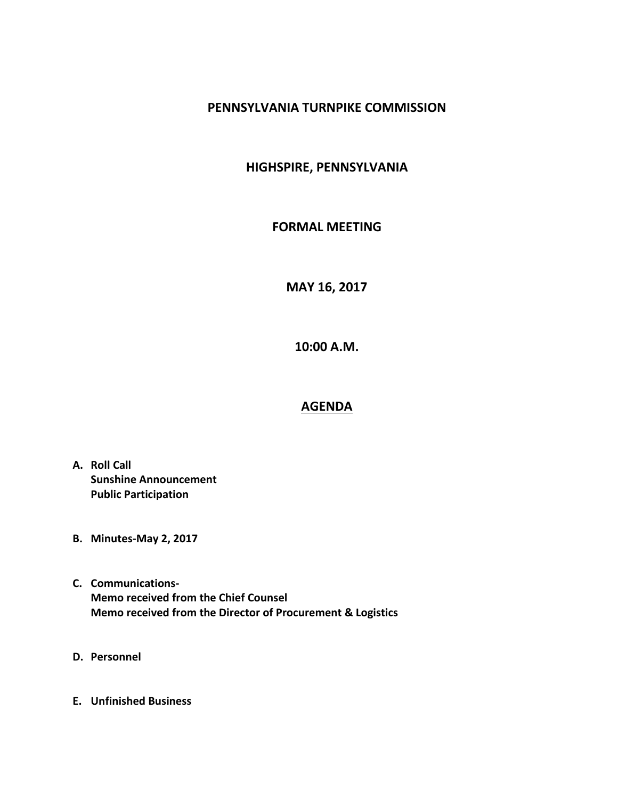## **PENNSYLVANIA TURNPIKE COMMISSION**

## **HIGHSPIRE, PENNSYLVANIA**

## **FORMAL MEETING**

**MAY 16, 2017**

**10:00 A.M.**

## **AGENDA**

- **A. Roll Call Sunshine Announcement Public Participation**
- **B. Minutes-May 2, 2017**
- **C. Communications-Memo received from the Chief Counsel Memo received from the Director of Procurement & Logistics**
- **D. Personnel**
- **E. Unfinished Business**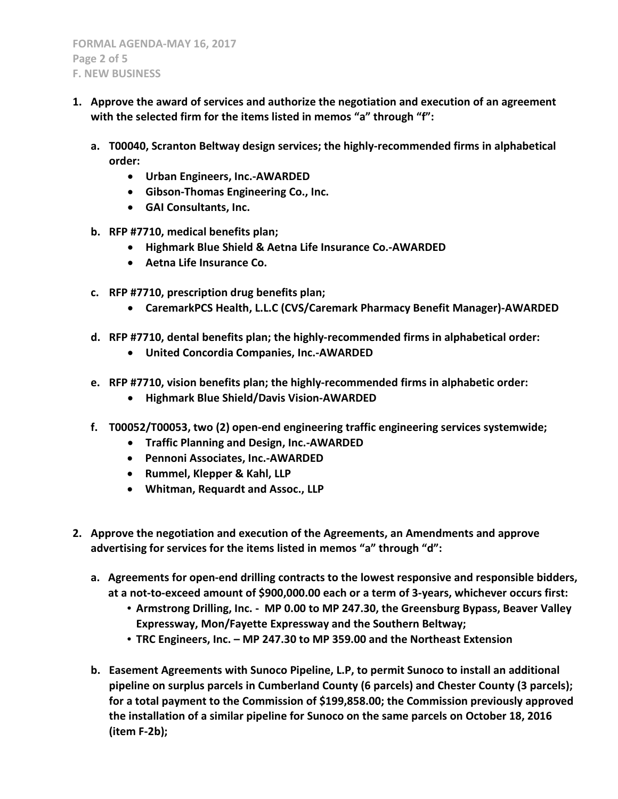- **1. Approve the award of services and authorize the negotiation and execution of an agreement with the selected firm for the items listed in memos "a" through "f":**
	- **a. T00040, Scranton Beltway design services; the highly-recommended firms in alphabetical order:**
		- **Urban Engineers, Inc.-AWARDED**
		- **Gibson-Thomas Engineering Co., Inc.**
		- **GAI Consultants, Inc.**
	- **b. RFP #7710, medical benefits plan;** 
		- **Highmark Blue Shield & Aetna Life Insurance Co.-AWARDED**
		- **Aetna Life Insurance Co.**
	- **c. RFP #7710, prescription drug benefits plan;**
		- **CaremarkPCS Health, L.L.C (CVS/Caremark Pharmacy Benefit Manager)-AWARDED**
	- **d. RFP #7710, dental benefits plan; the highly-recommended firms in alphabetical order:**
		- **United Concordia Companies, Inc.-AWARDED**
	- **e. RFP #7710, vision benefits plan; the highly-recommended firms in alphabetic order:**
		- **Highmark Blue Shield/Davis Vision-AWARDED**
	- **f. T00052/T00053, two (2) open-end engineering traffic engineering services systemwide;** 
		- **Traffic Planning and Design, Inc.-AWARDED**
		- **Pennoni Associates, Inc.-AWARDED**
		- **Rummel, Klepper & Kahl, LLP**
		- **Whitman, Requardt and Assoc., LLP**
- **2. Approve the negotiation and execution of the Agreements, an Amendments and approve advertising for services for the items listed in memos "a" through "d":**
	- **a. Agreements for open-end drilling contracts to the lowest responsive and responsible bidders, at a not-to-exceed amount of \$900,000.00 each or a term of 3-years, whichever occurs first:** 
		- **Armstrong Drilling, Inc. MP 0.00 to MP 247.30, the Greensburg Bypass, Beaver Valley Expressway, Mon/Fayette Expressway and the Southern Beltway;**
		- **TRC Engineers, Inc. – MP 247.30 to MP 359.00 and the Northeast Extension**
	- **b. Easement Agreements with Sunoco Pipeline, L.P, to permit Sunoco to install an additional pipeline on surplus parcels in Cumberland County (6 parcels) and Chester County (3 parcels); for a total payment to the Commission of \$199,858.00; the Commission previously approved the installation of a similar pipeline for Sunoco on the same parcels on October 18, 2016 (item F-2b);**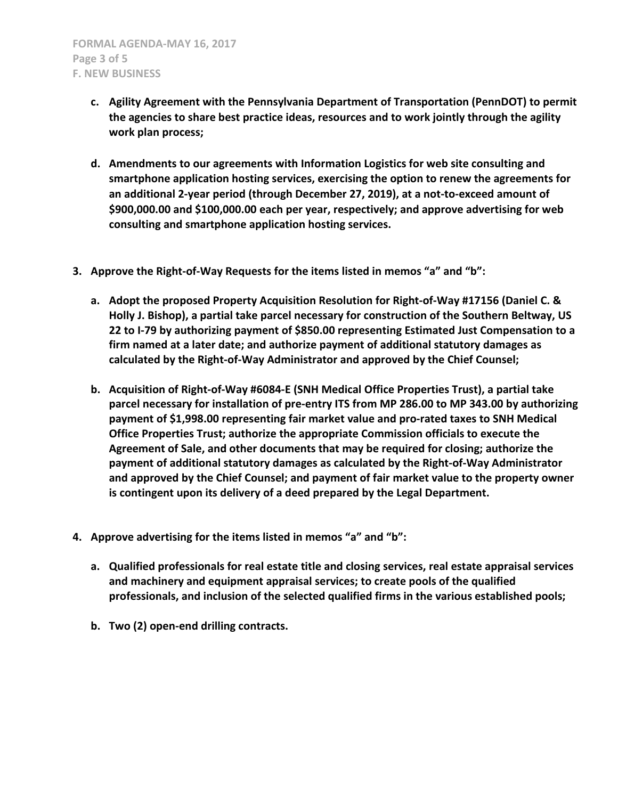- **c. Agility Agreement with the Pennsylvania Department of Transportation (PennDOT) to permit the agencies to share best practice ideas, resources and to work jointly through the agility work plan process;**
- **d. Amendments to our agreements with Information Logistics for web site consulting and smartphone application hosting services, exercising the option to renew the agreements for an additional 2-year period (through December 27, 2019), at a not-to-exceed amount of \$900,000.00 and \$100,000.00 each per year, respectively; and approve advertising for web consulting and smartphone application hosting services.**
- **3. Approve the Right-of-Way Requests for the items listed in memos "a" and "b":**
	- **a. Adopt the proposed Property Acquisition Resolution for Right-of-Way #17156 (Daniel C. & Holly J. Bishop), a partial take parcel necessary for construction of the Southern Beltway, US 22 to I-79 by authorizing payment of \$850.00 representing Estimated Just Compensation to a firm named at a later date; and authorize payment of additional statutory damages as calculated by the Right-of-Way Administrator and approved by the Chief Counsel;**
	- **b. Acquisition of Right-of-Way #6084-E (SNH Medical Office Properties Trust), a partial take parcel necessary for installation of pre-entry ITS from MP 286.00 to MP 343.00 by authorizing payment of \$1,998.00 representing fair market value and pro-rated taxes to SNH Medical Office Properties Trust; authorize the appropriate Commission officials to execute the Agreement of Sale, and other documents that may be required for closing; authorize the payment of additional statutory damages as calculated by the Right-of-Way Administrator and approved by the Chief Counsel; and payment of fair market value to the property owner is contingent upon its delivery of a deed prepared by the Legal Department.**
- **4. Approve advertising for the items listed in memos "a" and "b":**
	- **a. Qualified professionals for real estate title and closing services, real estate appraisal services and machinery and equipment appraisal services; to create pools of the qualified professionals, and inclusion of the selected qualified firms in the various established pools;**
	- **b. Two (2) open-end drilling contracts.**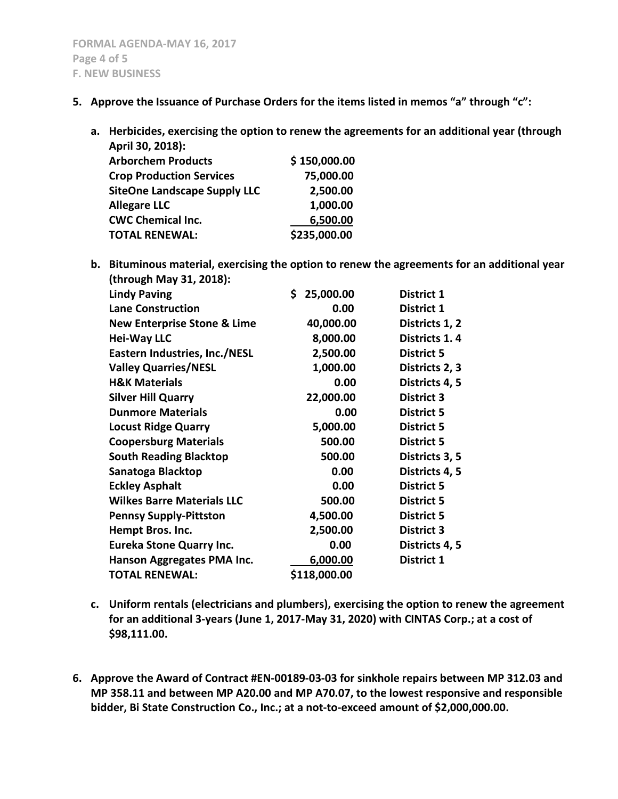- **5. Approve the Issuance of Purchase Orders for the items listed in memos "a" through "c":**
	- **a. Herbicides, exercising the option to renew the agreements for an additional year (through April 30, 2018):**

| . . <b>.</b> <del>.</del>           |              |
|-------------------------------------|--------------|
| <b>Arborchem Products</b>           | \$150,000.00 |
| <b>Crop Production Services</b>     | 75,000.00    |
| <b>SiteOne Landscape Supply LLC</b> | 2,500.00     |
| <b>Allegare LLC</b>                 | 1,000.00     |
| <b>CWC Chemical Inc.</b>            | 6,500.00     |
| <b>TOTAL RENEWAL:</b>               | \$235,000.00 |
|                                     |              |

**b. Bituminous material, exercising the option to renew the agreements for an additional year (through May 31, 2018):**

| <b>Lindy Paving</b>                    | \$<br>25,000.00 | District 1        |
|----------------------------------------|-----------------|-------------------|
| <b>Lane Construction</b>               | 0.00            | District 1        |
| <b>New Enterprise Stone &amp; Lime</b> | 40,000.00       | Districts 1, 2    |
| <b>Hei-Way LLC</b>                     | 8,000.00        | Districts 1.4     |
| Eastern Industries, Inc./NESL          | 2,500.00        | <b>District 5</b> |
| <b>Valley Quarries/NESL</b>            | 1,000.00        | Districts 2, 3    |
| <b>H&amp;K Materials</b>               | 0.00            | Districts 4, 5    |
| <b>Silver Hill Quarry</b>              | 22,000.00       | <b>District 3</b> |
| <b>Dunmore Materials</b>               | 0.00            | <b>District 5</b> |
| <b>Locust Ridge Quarry</b>             | 5,000.00        | <b>District 5</b> |
| <b>Coopersburg Materials</b>           | 500.00          | <b>District 5</b> |
| <b>South Reading Blacktop</b>          | 500.00          | Districts 3, 5    |
| Sanatoga Blacktop                      | 0.00            | Districts 4, 5    |
| <b>Eckley Asphalt</b>                  | 0.00            | <b>District 5</b> |
| <b>Wilkes Barre Materials LLC</b>      | 500.00          | <b>District 5</b> |
| <b>Pennsy Supply-Pittston</b>          | 4,500.00        | <b>District 5</b> |
| Hempt Bros. Inc.                       | 2,500.00        | <b>District 3</b> |
| <b>Eureka Stone Quarry Inc.</b>        | 0.00            | Districts 4, 5    |
| Hanson Aggregates PMA Inc.             | 6,000.00        | District 1        |
| <b>TOTAL RENEWAL:</b>                  | \$118,000.00    |                   |
|                                        |                 |                   |

- **c. Uniform rentals (electricians and plumbers), exercising the option to renew the agreement for an additional 3-years (June 1, 2017-May 31, 2020) with CINTAS Corp.; at a cost of \$98,111.00.**
- **6. Approve the Award of Contract #EN-00189-03-03 for sinkhole repairs between MP 312.03 and MP 358.11 and between MP A20.00 and MP A70.07, to the lowest responsive and responsible bidder, Bi State Construction Co., Inc.; at a not-to-exceed amount of \$2,000,000.00.**